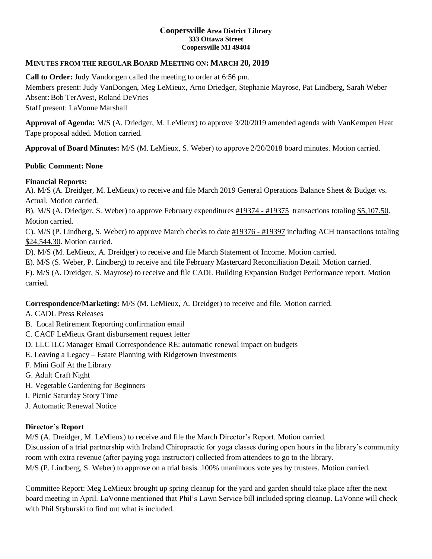#### **Coopersville Area District Library 333 Ottawa Street Coopersville MI 49404**

## **MINUTES FROM THE REGULAR BOARD MEETING ON: MARCH 20, 2019**

**Call to Order:** Judy Vandongen called the meeting to order at 6:56 pm. Members present: Judy VanDongen, Meg LeMieux, Arno Driedger, Stephanie Mayrose, Pat Lindberg, Sarah Weber Absent: Bob TerAvest, Roland DeVries Staff present: LaVonne Marshall

**Approval of Agenda:** M/S (A. Driedger, M. LeMieux) to approve 3/20/2019 amended agenda with VanKempen Heat Tape proposal added. Motion carried.

**Approval of Board Minutes:** M/S (M. LeMieux, S. Weber) to approve 2/20/2018 board minutes. Motion carried.

## **Public Comment: None**

## **Financial Reports:**

A). M/S (A. Dreidger, M. LeMieux) to receive and file March 2019 General Operations Balance Sheet & Budget vs. Actual. Motion carried.

B). M/S (A. Driedger, S. Weber) to approve February expenditures #19374 - #19375 transactions totaling \$5,107.50. Motion carried.

C). M/S (P. Lindberg, S. Weber) to approve March checks to date #19376 - #19397 including ACH transactions totaling \$24,544.30. Motion carried.

D). M/S (M. LeMieux, A. Dreidger) to receive and file March Statement of Income. Motion carried.

E). M/S (S. Weber, P. Lindberg) to receive and file February Mastercard Reconciliation Detail. Motion carried.

F). M/S (A. Dreidger, S. Mayrose) to receive and file CADL Building Expansion Budget Performance report. Motion carried.

**Correspondence/Marketing:** M/S (M. LeMieux, A. Dreidger) to receive and file. Motion carried.

- A. CADL Press Releases
- B. Local Retirement Reporting confirmation email
- C. CACF LeMieux Grant disbursement request letter
- D. LLC ILC Manager Email Correspondence RE: automatic renewal impact on budgets
- E. Leaving a Legacy Estate Planning with Ridgetown Investments
- F. Mini Golf At the Library
- G. Adult Craft Night
- H. Vegetable Gardening for Beginners
- I. Picnic Saturday Story Time
- J. Automatic Renewal Notice

#### **Director's Report**

M/S (A. Dreidger, M. LeMieux) to receive and file the March Director's Report. Motion carried.

Discussion of a trial partnership with Ireland Chiropractic for yoga classes during open hours in the library's community room with extra revenue (after paying yoga instructor) collected from attendees to go to the library.

M/S (P. Lindberg, S. Weber) to approve on a trial basis. 100% unanimous vote yes by trustees. Motion carried.

Committee Report: Meg LeMieux brought up spring cleanup for the yard and garden should take place after the next board meeting in April. LaVonne mentioned that Phil's Lawn Service bill included spring cleanup. LaVonne will check with Phil Styburski to find out what is included.